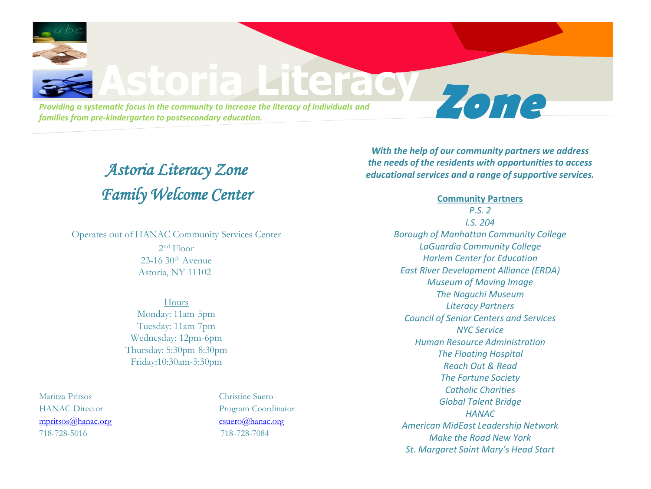

## *Astoria Literacy Zone Family Welcome Center*

Operates out of HANAC Community Services Center 2 nd Floor  $23-16$  30<sup>th</sup> Avenue

Astoria, NY 11102

Hours Monday: 11am-5pm Tuesday: 11am-7pm Wednesday: 12pm-6pm Thursday: 5:30pm-8:30pm Friday:10:30am-5:30pm

Maritza Pritsos Christine Suero [mpritsos@hanac.org](mailto:mpritsos@hanac.org) [csuero@hanac.org](mailto:csuero@hanac.org) 718-728-5016 718-728-7084

HANAC Director Program Coordinator

*With the help of our community partners we address the needs of the residents with opportunities to access educational services and a range of supportive services.* 

> **Community Partners** *P.S. 2 I.S. 204 Borough of Manhattan Community College LaGuardia Community College Harlem Center for Education East River Development Alliance (ERDA) Museum of Moving Image The Noguchi Museum Literacy Partners Council of Senior Centers and Services NYC Service Human Resource Administration The Floating Hospital Reach Out & Read The Fortune Society Catholic Charities Global Talent Bridge HANAC American MidEast Leadership Network Make the Road New York St. Margaret Saint Mary's Head Start*